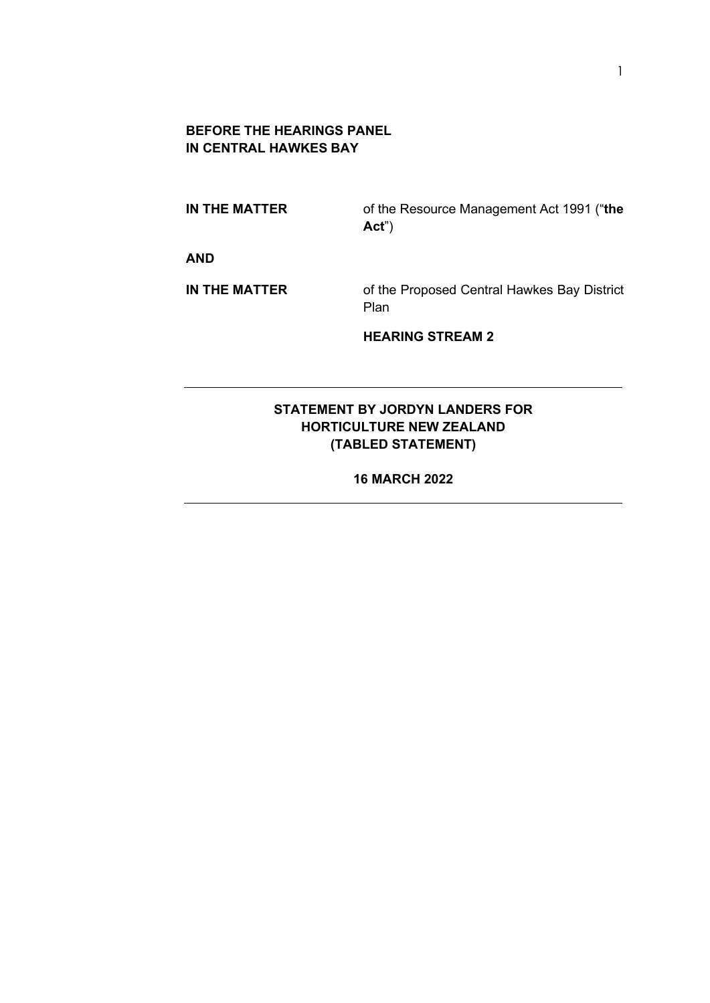#### **BEFORE THE HEARINGS PANEL IN CENTRAL HAWKES BAY**

**IN THE MATTER** of the Resource Management Act 1991 ("**the Act**")

**AND**

**IN THE MATTER** of the Proposed Central Hawkes Bay District Plan

**HEARING STREAM 2**

## **STATEMENT BY JORDYN LANDERS FOR HORTICULTURE NEW ZEALAND (TABLED STATEMENT)**

**16 MARCH 2022**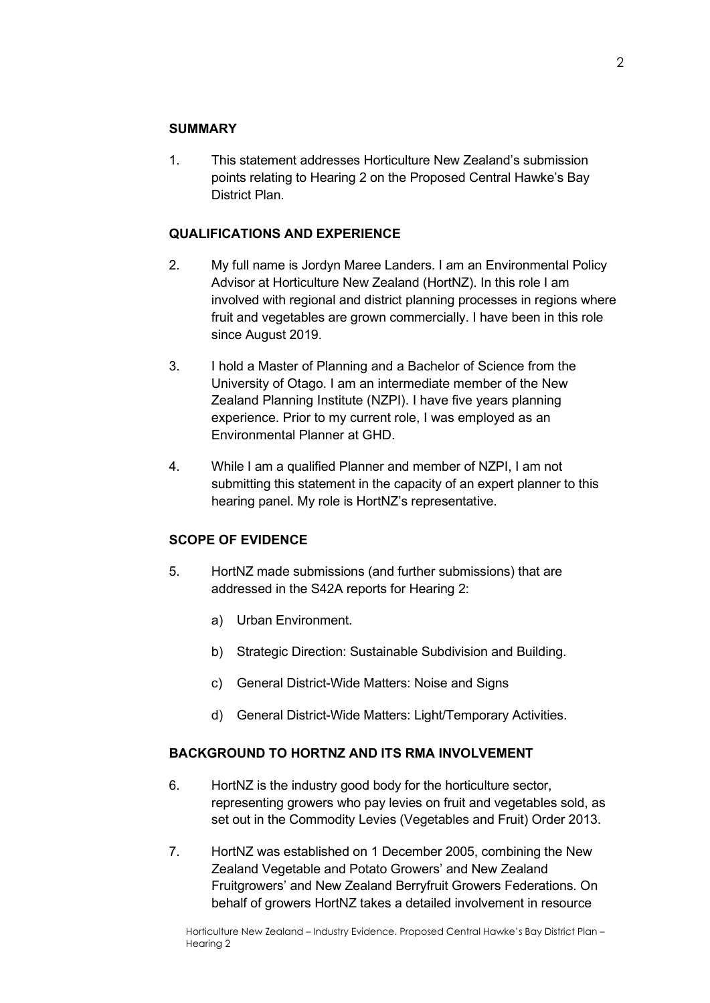#### **SUMMARY**

1. This statement addresses Horticulture New Zealand's submission points relating to Hearing 2 on the Proposed Central Hawke's Bay District Plan.

#### **QUALIFICATIONS AND EXPERIENCE**

- 2. My full name is Jordyn Maree Landers. I am an Environmental Policy Advisor at Horticulture New Zealand (HortNZ). In this role I am involved with regional and district planning processes in regions where fruit and vegetables are grown commercially. I have been in this role since August 2019.
- 3. I hold a Master of Planning and a Bachelor of Science from the University of Otago. I am an intermediate member of the New Zealand Planning Institute (NZPI). I have five years planning experience. Prior to my current role, I was employed as an Environmental Planner at GHD.
- 4. While I am a qualified Planner and member of NZPI, I am not submitting this statement in the capacity of an expert planner to this hearing panel. My role is HortNZ's representative.

#### **SCOPE OF EVIDENCE**

- 5. HortNZ made submissions (and further submissions) that are addressed in the S42A reports for Hearing 2:
	- a) Urban Environment.
	- b) Strategic Direction: Sustainable Subdivision and Building.
	- c) General District-Wide Matters: Noise and Signs
	- d) General District-Wide Matters: Light/Temporary Activities.

### **BACKGROUND TO HORTNZ AND ITS RMA INVOLVEMENT**

- 6. HortNZ is the industry good body for the horticulture sector, representing growers who pay levies on fruit and vegetables sold, as set out in the Commodity Levies (Vegetables and Fruit) Order 2013.
- 7. HortNZ was established on 1 December 2005, combining the New Zealand Vegetable and Potato Growers' and New Zealand Fruitgrowers' and New Zealand Berryfruit Growers Federations. On behalf of growers HortNZ takes a detailed involvement in resource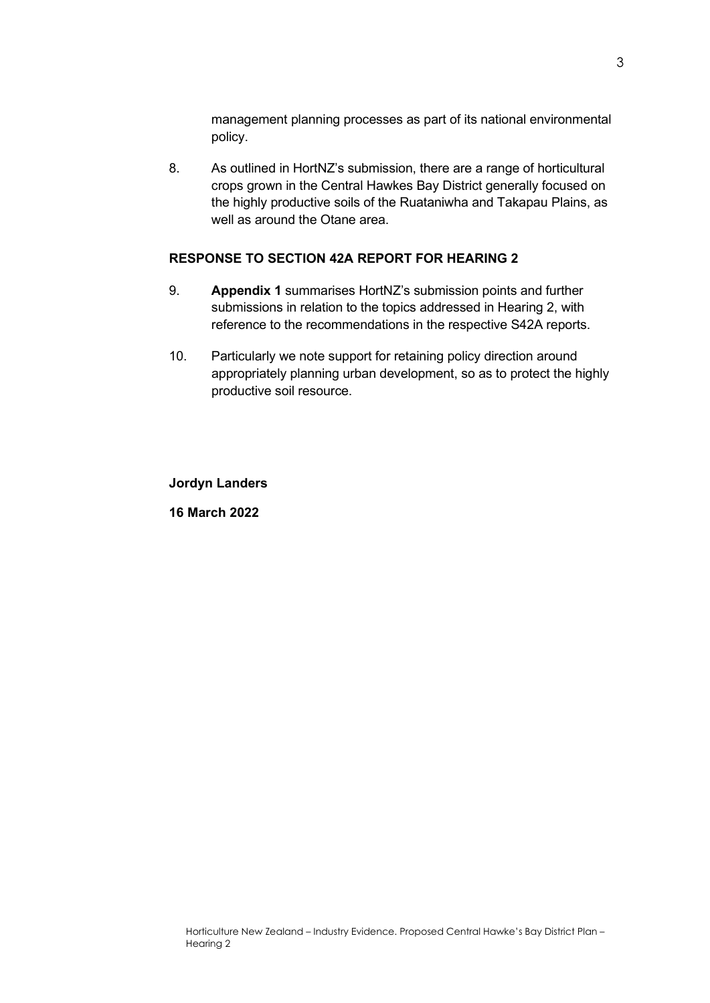management planning processes as part of its national environmental policy.

8. As outlined in HortNZ's submission, there are a range of horticultural crops grown in the Central Hawkes Bay District generally focused on the highly productive soils of the Ruataniwha and Takapau Plains, as well as around the Otane area.

#### **RESPONSE TO SECTION 42A REPORT FOR HEARING 2**

- 9. **Appendix 1** summarises HortNZ's submission points and further submissions in relation to the topics addressed in Hearing 2, with reference to the recommendations in the respective S42A reports.
- 10. Particularly we note support for retaining policy direction around appropriately planning urban development, so as to protect the highly productive soil resource.

**Jordyn Landers**

**16 March 2022**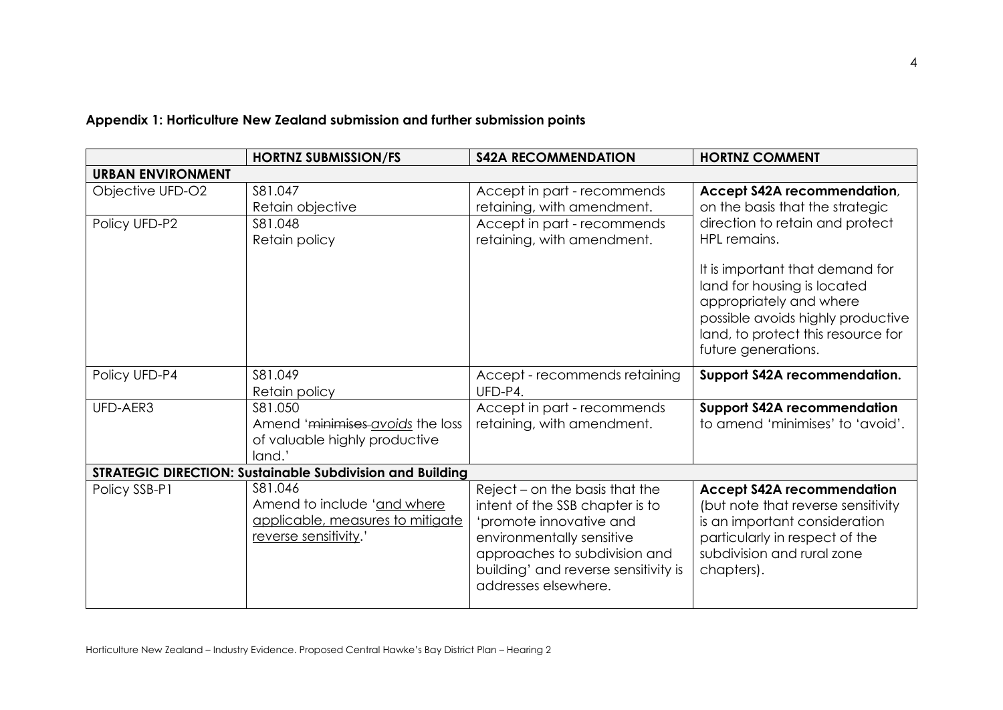|                                                                  | <b>HORTNZ SUBMISSION/FS</b>                                                                         | <b>S42A RECOMMENDATION</b>                                                                                                                                                                                                 | <b>HORTNZ COMMENT</b>                                                                                                                                                                       |  |  |  |
|------------------------------------------------------------------|-----------------------------------------------------------------------------------------------------|----------------------------------------------------------------------------------------------------------------------------------------------------------------------------------------------------------------------------|---------------------------------------------------------------------------------------------------------------------------------------------------------------------------------------------|--|--|--|
| <b>URBAN ENVIRONMENT</b>                                         |                                                                                                     |                                                                                                                                                                                                                            |                                                                                                                                                                                             |  |  |  |
| Objective UFD-O2<br>Policy UFD-P2                                | S81.047<br>Retain objective<br>S81.048<br>Retain policy                                             | Accept in part - recommends<br>retaining, with amendment.<br>Accept in part - recommends<br>retaining, with amendment.                                                                                                     | Accept S42A recommendation,<br>on the basis that the strategic<br>direction to retain and protect<br>HPL remains.                                                                           |  |  |  |
|                                                                  |                                                                                                     |                                                                                                                                                                                                                            | It is important that demand for<br>land for housing is located<br>appropriately and where<br>possible avoids highly productive<br>land, to protect this resource for<br>future generations. |  |  |  |
| Policy UFD-P4                                                    | S81.049<br>Retain policy                                                                            | Accept - recommends retaining<br>UFD-P4.                                                                                                                                                                                   | <b>Support S42A recommendation.</b>                                                                                                                                                         |  |  |  |
| UFD-AER3                                                         | S81.050<br>Amend 'minimises avoids the loss<br>of valuable highly productive<br>land.'              | Accept in part - recommends<br>retaining, with amendment.                                                                                                                                                                  | <b>Support S42A recommendation</b><br>to amend 'minimises' to 'avoid'.                                                                                                                      |  |  |  |
| <b>STRATEGIC DIRECTION: Sustainable Subdivision and Building</b> |                                                                                                     |                                                                                                                                                                                                                            |                                                                                                                                                                                             |  |  |  |
| Policy SSB-P1                                                    | S81.046<br>Amend to include 'and where<br>applicable, measures to mitigate<br>reverse sensitivity.' | Reject - on the basis that the<br>intent of the SSB chapter is to<br>'promote innovative and<br>environmentally sensitive<br>approaches to subdivision and<br>building' and reverse sensitivity is<br>addresses elsewhere. | <b>Accept S42A recommendation</b><br>(but note that reverse sensitivity<br>is an important consideration<br>particularly in respect of the<br>subdivision and rural zone<br>chapters).      |  |  |  |

# **Appendix 1: Horticulture New Zealand submission and further submission points**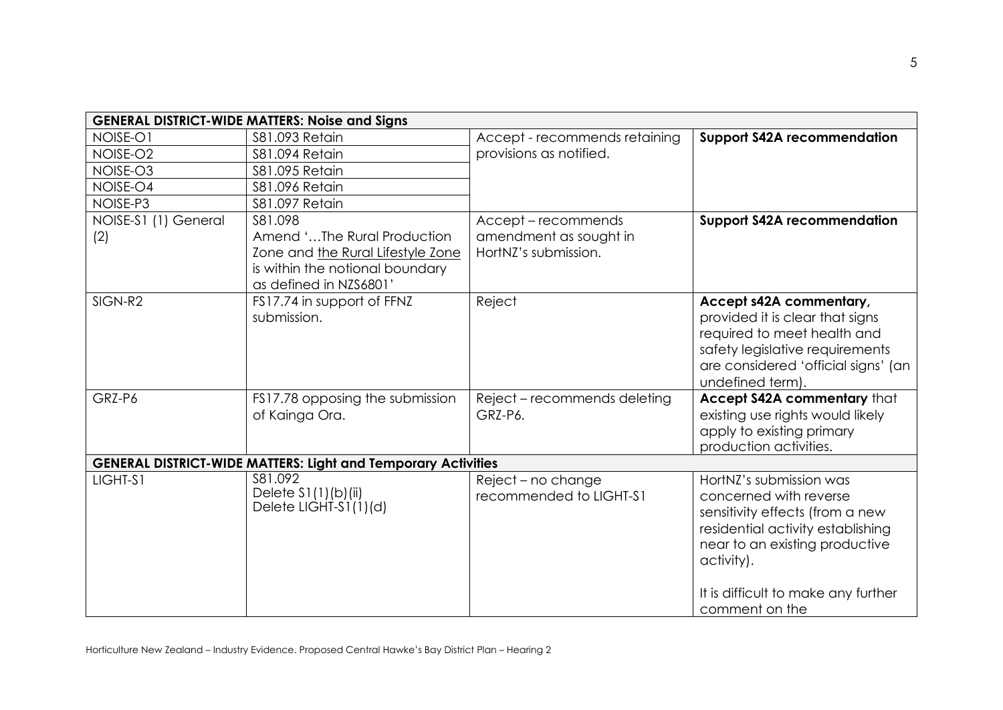| <b>GENERAL DISTRICT-WIDE MATTERS: Noise and Signs</b> |                                                                      |                               |                                                         |  |  |  |
|-------------------------------------------------------|----------------------------------------------------------------------|-------------------------------|---------------------------------------------------------|--|--|--|
| NOISE-O1                                              | <b>S81.093 Retain</b>                                                | Accept - recommends retaining | <b>Support S42A recommendation</b>                      |  |  |  |
| NOISE-O2                                              | \$81.094 Retain                                                      | provisions as notified.       |                                                         |  |  |  |
| NOISE-O3                                              | \$81.095 Retain                                                      |                               |                                                         |  |  |  |
| NOISE-O4                                              | \$81.096 Retain                                                      |                               |                                                         |  |  |  |
| NOISE-P3                                              | \$81.097 Retain                                                      |                               |                                                         |  |  |  |
| NOISE-S1 (1) General                                  | S81.098                                                              | Accept-recommends             | <b>Support S42A recommendation</b>                      |  |  |  |
| (2)                                                   | Amend 'The Rural Production                                          | amendment as sought in        |                                                         |  |  |  |
|                                                       | Zone and the Rural Lifestyle Zone                                    | HortNZ's submission.          |                                                         |  |  |  |
|                                                       | is within the notional boundary                                      |                               |                                                         |  |  |  |
|                                                       | as defined in NZS6801'                                               |                               |                                                         |  |  |  |
| SIGN-R2                                               | FS17.74 in support of FFNZ                                           | Reject                        | Accept s42A commentary,                                 |  |  |  |
|                                                       | submission.                                                          |                               | provided it is clear that signs                         |  |  |  |
|                                                       |                                                                      |                               | required to meet health and                             |  |  |  |
|                                                       |                                                                      |                               | safety legislative requirements                         |  |  |  |
|                                                       |                                                                      |                               | are considered 'official signs' (an<br>undefined term). |  |  |  |
| GRZ-P6                                                | FS17.78 opposing the submission                                      | Reject - recommends deleting  | Accept S42A commentary that                             |  |  |  |
|                                                       | of Kainga Ora.                                                       | GRZ-P6.                       | existing use rights would likely                        |  |  |  |
|                                                       |                                                                      |                               | apply to existing primary                               |  |  |  |
|                                                       |                                                                      |                               | production activities.                                  |  |  |  |
|                                                       | <b>GENERAL DISTRICT-WIDE MATTERS: Light and Temporary Activities</b> |                               |                                                         |  |  |  |
| LIGHT-S1                                              | S81.092                                                              | Reject - no change            | HortNZ's submission was                                 |  |  |  |
|                                                       | Delete $S1(1)(b)(ii)$                                                | recommended to LIGHT-S1       | concerned with reverse                                  |  |  |  |
|                                                       | Delete LIGHT-S1(1)(d)                                                |                               | sensitivity effects (from a new                         |  |  |  |
|                                                       |                                                                      |                               | residential activity establishing                       |  |  |  |
|                                                       |                                                                      |                               | near to an existing productive                          |  |  |  |
|                                                       |                                                                      |                               | activity).                                              |  |  |  |
|                                                       |                                                                      |                               |                                                         |  |  |  |
|                                                       |                                                                      |                               | It is difficult to make any further                     |  |  |  |
|                                                       |                                                                      |                               | comment on the                                          |  |  |  |